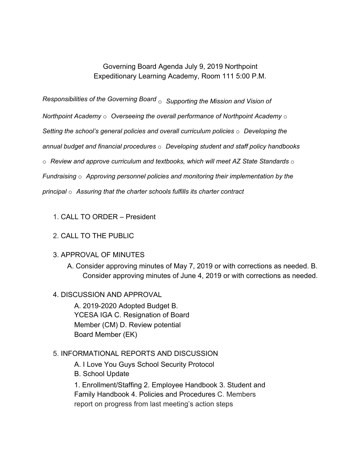## Governing Board Agenda July 9, 2019 Northpoint Expeditionary Learning Academy, Room 111 5:00 P.M.

*Responsibilities of the Governing Board* o *Supporting the Mission and Vision of*

*Northpoint Academy* o *Overseeing the overall performance of Northpoint Academy* o

*Setting the school's general policies and overall curriculum policies* o *Developing the*

*annual budget and financial procedures* o *Developing student and staff policy handbooks*

o *Review and approve curriculum and textbooks, which will meet AZ State Standards* o

*Fundraising* o *Approving personnel policies and monitoring their implementation by the*

*principal* o *Assuring that the charter schools fulfills its charter contract*

1. CALL TO ORDER – President

## 2. CALL TO THE PUBLIC

- 3. APPROVAL OF MINUTES
	- A. Consider approving minutes of May 7, 2019 or with corrections as needed. B. Consider approving minutes of June 4, 2019 or with corrections as needed.

## 4. DISCUSSION AND APPROVAL

A. 2019-2020 Adopted Budget B. YCESA IGA C. Resignation of Board Member (CM) D. Review potential Board Member (EK)

## 5. INFORMATIONAL REPORTS AND DISCUSSION

A. I Love You Guys School Security Protocol

B. School Update

1. Enrollment/Staffing 2. Employee Handbook 3. Student and Family Handbook 4. Policies and Procedures C. Members report on progress from last meeting's action steps